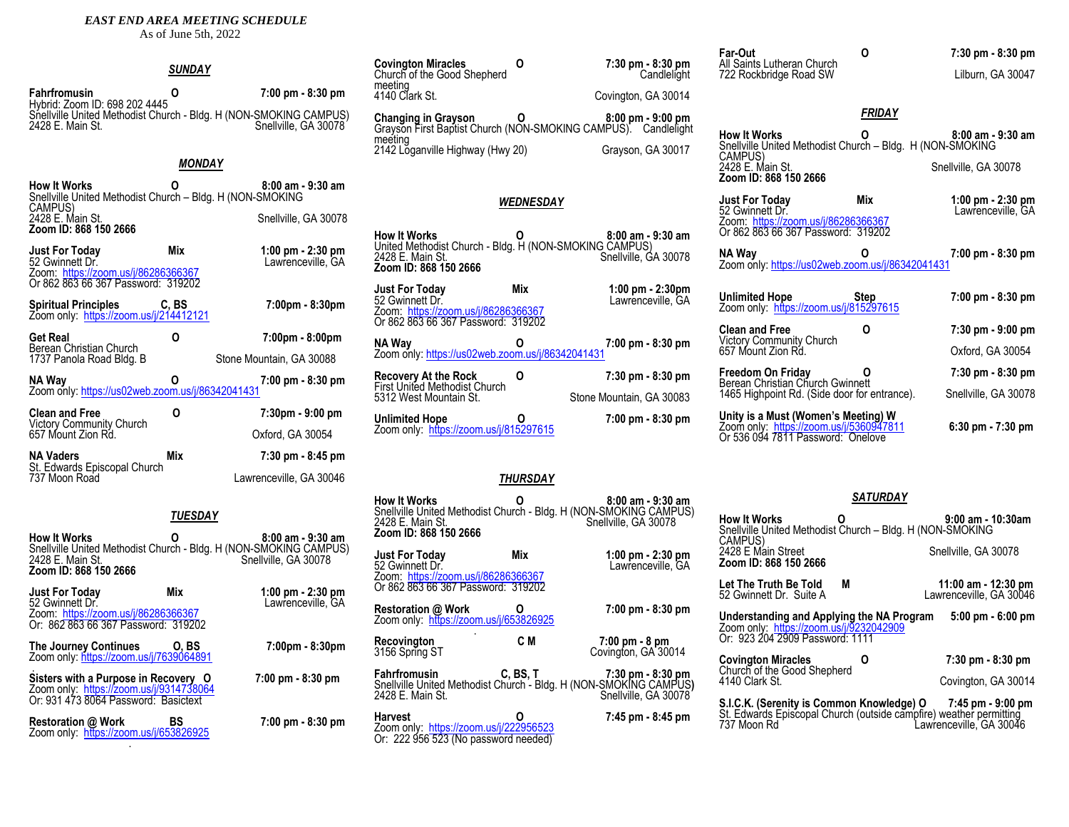#### *EAST END AREA MEETING SCHEDULE*

As of June 5th, 2022

|                                                                                                          | <b>SUNDAY</b>  |                                                                                           | <b>Covington Miracles</b><br>Church of the Good She                                         |
|----------------------------------------------------------------------------------------------------------|----------------|-------------------------------------------------------------------------------------------|---------------------------------------------------------------------------------------------|
| <b>Fahrfromusin</b><br>Hybrid: Zoom ID: 698 202 4445                                                     | 0              | 7:00 pm - 8:30 pm                                                                         | meeting<br>4140 Clark St.                                                                   |
| 2428 E. Main St.                                                                                         |                | Snellville United Methodist Church - Bldg. H (NON-SMOKING CAMPUS)<br>Snellville, GA 30078 | Changing in Grayson<br>Grayson First Baptist Ch<br>meeting<br>2142 Lõganville Highwa        |
|                                                                                                          | <b>MONDAY</b>  |                                                                                           |                                                                                             |
| <b>How It Works</b><br>Snellville United Methodist Church - Bldg. H (NON-SMOKING<br>CAMPUS)              |                | $8:00$ am - $9:30$ am                                                                     |                                                                                             |
| 2428 E. Main St.                                                                                         |                | Snellville, GA 30078                                                                      |                                                                                             |
| Zoom ID: 868 150 2666<br><b>Just For Today</b><br>52 Gwinnett Dr.<br>Zoom: https://zoom.us/j/86286366367 | Mix            | 1:00 pm $-$ 2:30 pm<br>Lawrenceville, GA                                                  | <b>How It Works</b><br>United Methodist Church<br>2428 E. Main St.<br>Zoom ID: 868 150 2666 |
| Or 862 863 66 367 Password: 319202                                                                       |                |                                                                                           | <b>Just For Today</b>                                                                       |
| <b>Spiritual Principles</b><br>Zoom only: https://zoom.us/j/214412121                                    | C, BS          | $7:00 \text{pm} - 8:30 \text{pm}$                                                         | 52 Gwinnett Dr.<br>Zoom: https://zoom.us/j<br>Or 862 863 66 367 Pass                        |
| <b>Get Real</b><br>Berean Christian Church                                                               | O              | 7:00pm - 8:00pm                                                                           | NA Way                                                                                      |
| 1737 Panola Road Bldg. B                                                                                 |                | Stone Mountain, GA 30088                                                                  | Zoom only: https://us02v                                                                    |
| NA Way<br>Zoom only: https://us02web.zoom.us/j/86342041431                                               | 0              | 7:00 pm - 8:30 pm                                                                         | <b>Recovery At the Rock</b><br><b>First United Methodist C</b><br>5312 West Mountain St.    |
| <b>Clean and Free</b>                                                                                    | 0              | $7:30 \text{pm} - 9:00 \text{pm}$                                                         | <b>Unlimited Hope</b>                                                                       |
| Victory Community Church<br>657 Mount Zion Rd.                                                           |                | Oxford, GA 30054                                                                          | Zoom only: https://zoom                                                                     |
| <b>NA Vaders</b>                                                                                         | Mix            | 7:30 pm - 8:45 pm                                                                         |                                                                                             |
| St. Edwards Episcopal Church<br>737 Moon Road                                                            |                | Lawrenceville, GA 30046                                                                   |                                                                                             |
|                                                                                                          | <b>TUESDAY</b> |                                                                                           | <b>How It Works</b><br>Snellville United Method<br>2428 E. Main St.<br>7.2.00100000000000   |

| <b>How It Works</b><br>2428 E. Main St.<br>Zoom ID: 868 150 2666                                                       |                      | $8:00$ am - $9:30$ am<br>Snellville United Methodist Church - Bldg. H (NON-SMOKING CAMPUS)<br>Snellville, GA 30078 |
|------------------------------------------------------------------------------------------------------------------------|----------------------|--------------------------------------------------------------------------------------------------------------------|
| <b>Just For Today</b><br>52 Gwinnett Dr.<br>Zoom: https://zoom.us/j/86286366367<br>Or: 862 863 66 367 Password: 319202 | Mix                  | 1:00 pm - 2:30 pm<br>Lawrenceville, GA                                                                             |
| The Journey Continues                                                                                                  | [0, B <sub>S</sub> ] | 7:00pm - 8:30pm                                                                                                    |

Zoom only: <u>https://zoom.us/j/7639064891</u>

. **Sisters with a Purpose in Recovery O 7:00 pm - 8:30 pm** Zoom only: <u>https://zoom.us/j/9314738064</u> Or: 931 473 8064 Password: Basictext

**Restoration @ Work BS 7:00 pm - 8:30 pm** Zoom only: <u>https://zoom.us/j/653826925</u><br>.

**Covington Miracles O 7:30 pm - 8:30 pm** Covington, GA 30014 **Changing in Grayson O 8:00 pm - 9:00 pm** Grayson First Baptist Church (NON-SMOKING CAMPUS). Candlelight ay (Hwy 20) Grayson, GA 30017

**Candlelight** 

Stone Mountain, GA 30083

#### *WEDNESDAY*

**How It Works O 8:00 am - 9:30 am**  United Methodist Church - Bldg. H (NON-SMOKING CAMPUS) Snellville, GA 30078 **Just For Today Mix 1:00 pm - 2:30pm** Lawrenceville, GA

 $/86286366367$ sword: 319202 **NA Way O 7:00 pm - 8:30 pm** web.zoom.us/i/86342041431

**Recovery At the Rock O 7:30 pm - 8:30 pm** .<br>Church

**Unlimited Hope O 7:00 pm - 8:30 pm** n.us/j/815297615

#### *THURSDAY*

**How It Works O 8:00 am - 9:30 am** Snellville United Methodist Church - Bldg. H (NON-SMOKING CAMPUS) 2428 E. Main St. Snellville, GA 30078 **Zoom ID: 868 150 2666 Just For Today Mix** 1:00 pm - 2:30 pm<br>52 Gwinnett Dr. **Mix** Lawrenceville, GA Lawrenceville, GA Zoom:<https://zoom.us/j/86286366367> Or 862 863 66 367 Password: 319202 **Restoration @ Work O 7:00 pm - 8:30 pm** Zoom only: <u><https://zoom.us/j/653826925></u><br>-**Recovington C M 7:00 pm - 8 pm** 3156 Spring ST Covington, GA 30014 **Fahrfromusin C, BS, T 7:30 pm - 8:30 pm** Snellville United Methodist Church - Bldg. H (NON-SMOK**I**NG CAMPUS**)**<br>2428 E. Main St. **Harvest O 7:45 pm - 8:45 pm** Zoom only: <u>.<https://zoom.us/j/222956523></u> Or: 222 956 523 (No password needed)

| Far-Out<br>All Saints Lutheran Church                                                                               | O           | 7:30 pm - 8:30 pm                        |
|---------------------------------------------------------------------------------------------------------------------|-------------|------------------------------------------|
| 722 Rockbridge Road SW                                                                                              |             | Lilburn. GA 30047                        |
|                                                                                                                     |             |                                          |
|                                                                                                                     | FRIDAY      |                                          |
| <b>How It Works</b><br>Snellville United Methodist Church - Bldg. H (NON-SMOKING<br>CAMPUS)                         |             | $8:00$ am - $9:30$ am                    |
| 2428 E. Main St.<br>Zoom ID: 868 150 2666                                                                           |             | Snellville, GA 30078                     |
| Just For Today<br>52 Gwinnett Dr.                                                                                   | Mix         | 1:00 pm $-$ 2:30 pm<br>Lawrenceville, GA |
| Zoom: https://zoom.us/j/86286366367<br>Or 862 863 66 367 Password: 319202                                           |             |                                          |
| NA Way<br>Zoom only: https://us02web.zoom.us/j/86342041431                                                          |             | 7:00 pm - 8:30 pm                        |
|                                                                                                                     |             |                                          |
| <b>Unlimited Hope</b><br>Zoom only: https://zoom.us/j/815297615                                                     | <b>Step</b> | 7:00 pm - 8:30 pm                        |
| <b>Clean and Free</b>                                                                                               | ი           | $7:30$ pm - $9:00$ pm                    |
| <b>Victory Community Church</b><br>657 Mount Zion Rd.                                                               |             | Oxford, GA 30054                         |
| Freedom On Friday<br>Berean Christian Church Gwinnett                                                               |             | 7:30 pm - 8:30 pm                        |
| 1465 Highpoint Rd. (Side door for entrance).                                                                        |             | Snellville, GA 30078                     |
| Unity is a Must (Women's Meeting) W<br>Zoom only: https://zoom.us/j/5360947811<br>Or 536 094 7811 Password: Onelove |             | $6:30$ pm - $7:30$ pm                    |

#### *SATURDAY*

| How It Works<br>Snellville United Methodist Church - Bldg. H (NON-SMOKING<br>CAMPUS)<br>2428 E Main Street<br>Zoom ID: 868 150 2666 |   | $9:00$ am - 10:30am<br>Snellville, GA 30078                                                                                                                  |
|-------------------------------------------------------------------------------------------------------------------------------------|---|--------------------------------------------------------------------------------------------------------------------------------------------------------------|
| Let The Truth Be Told<br>52 Gwinnett Dr. Suite A                                                                                    | М | 11:00 am - 12:30 pm<br>Lawrenceville, GA 30046                                                                                                               |
| Understanding and Applying the NA Program<br>Zoom only: https://zoom.us/j/9232042909<br>Or: 923 204 2909 Password: 1111             |   | $5:00 \text{ pm} - 6:00 \text{ pm}$                                                                                                                          |
| <b>Covington Miracles</b>                                                                                                           |   | 7:30 pm - 8:30 pm                                                                                                                                            |
| Church of the Good Shepherd<br>4140 Clark St.                                                                                       |   | Covington, GA 30014                                                                                                                                          |
| 737 Moon Rd                                                                                                                         |   | S.I.C.K. (Serenity is Common Knowledge) 0 7:45 pm - 9:00 pm<br>St. Edwards Episcopal Church (outside campfire) weather permitting<br>Lawrenceville. GA 30046 |